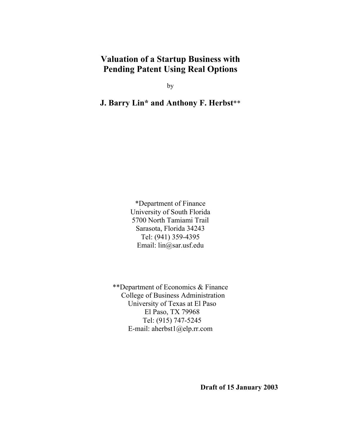# **Valuation of a Startup Business with Pending Patent Using Real Options**

by

**J. Barry Lin\* and Anthony F. Herbst**\*\*

\*Department of Finance University of South Florida 5700 North Tamiami Trail Sarasota, Florida 34243 Tel: (941) 359-4395 Email: lin@sar.usf.edu

\*\*Department of Economics & Finance College of Business Administration University of Texas at El Paso El Paso, TX 79968 Tel: (915) 747-5245 E-mail: aherbst1@elp.rr.com

 **Draft of 15 January 2003**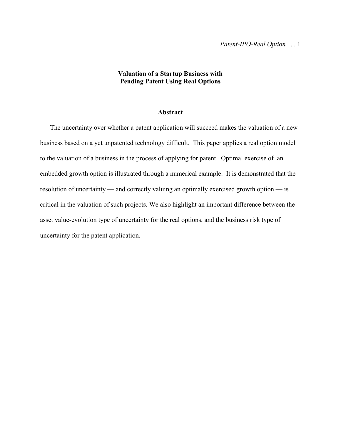# **Valuation of a Startup Business with Pending Patent Using Real Options**

## **Abstract**

 The uncertainty over whether a patent application will succeed makes the valuation of a new business based on a yet unpatented technology difficult. This paper applies a real option model to the valuation of a business in the process of applying for patent. Optimal exercise of an embedded growth option is illustrated through a numerical example. It is demonstrated that the resolution of uncertainty — and correctly valuing an optimally exercised growth option — is critical in the valuation of such projects. We also highlight an important difference between the asset value-evolution type of uncertainty for the real options, and the business risk type of uncertainty for the patent application.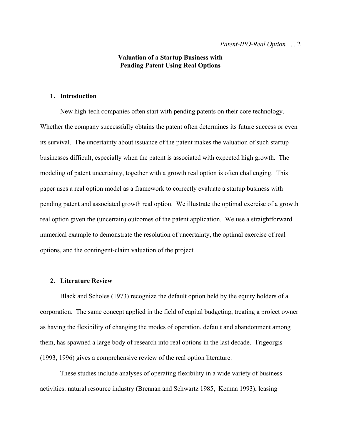# **Valuation of a Startup Business with Pending Patent Using Real Options**

# **1. Introduction**

 New high-tech companies often start with pending patents on their core technology. Whether the company successfully obtains the patent often determines its future success or even its survival. The uncertainty about issuance of the patent makes the valuation of such startup businesses difficult, especially when the patent is associated with expected high growth. The modeling of patent uncertainty, together with a growth real option is often challenging. This paper uses a real option model as a framework to correctly evaluate a startup business with pending patent and associated growth real option. We illustrate the optimal exercise of a growth real option given the (uncertain) outcomes of the patent application. We use a straightforward numerical example to demonstrate the resolution of uncertainty, the optimal exercise of real options, and the contingent-claim valuation of the project.

## **2. Literature Review**

Black and Scholes (1973) recognize the default option held by the equity holders of a corporation. The same concept applied in the field of capital budgeting, treating a project owner as having the flexibility of changing the modes of operation, default and abandonment among them, has spawned a large body of research into real options in the last decade. Trigeorgis (1993, 1996) gives a comprehensive review of the real option literature.

 These studies include analyses of operating flexibility in a wide variety of business activities: natural resource industry (Brennan and Schwartz 1985, Kemna 1993), leasing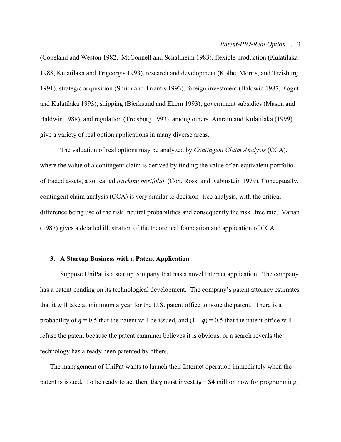#### *Patent-IPO-Real Option* . . . 3

(Copeland and Weston 1982, McConnell and Schallheim 1983), flexible production (Kulatilaka 1988, Kulatilaka and Trigeorgis 1993), research and development (Kolbe, Morris, and Treisburg 1991), strategic acquisition (Smith and Triantis 1993), foreign investment (Baldwin 1987, Kogut and Kulatilaka 1993), shipping (Bjerksund and Ekern 1993), government subsidies (Mason and Baldwin 1988), and regulation (Treisburg 1993), among others. Amram and Kulatilaka (1999) give a variety of real option applications in many diverse areas.

 The valuation of real options may be analyzed by *Contingent Claim Analysis* (CCA), where the value of a contingent claim is derived by finding the value of an equivalent portfolio of traded assets, a so-called *tracking portfolio* (Cox, Ross, and Rubinstein 1979). Conceptually, contingent claim analysis  $(CCA)$  is very similar to decision-tree analysis, with the critical difference being use of the risk-neutral probabilities and consequently the risk-free rate. Varian (1987) gives a detailed illustration of the theoretical foundation and application of CCA.

## **3. A Startup Business with a Patent Application**

 Suppose UniPat is a startup company that has a novel Internet application. The company has a patent pending on its technological development. The company's patent attorney estimates that it will take at minimum a year for the U.S. patent office to issue the patent. There is a probability of  $q = 0.5$  that the patent will be issued, and  $(1 - q) = 0.5$  that the patent office will refuse the patent because the patent examiner believes it is obvious, or a search reveals the technology has already been patented by others.

 The management of UniPat wants to launch their Internet operation immediately when the patent is issued. To be ready to act then, they must invest  $I_0 = $4$  million now for programming,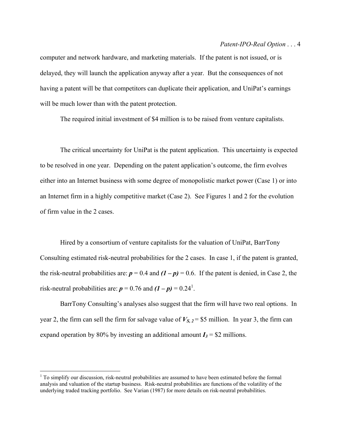#### *Patent-IPO-Real Option* . . . 4

computer and network hardware, and marketing materials. If the patent is not issued, or is delayed, they will launch the application anyway after a year. But the consequences of not having a patent will be that competitors can duplicate their application, and UniPat's earnings will be much lower than with the patent protection.

The required initial investment of \$4 million is to be raised from venture capitalists.

 The critical uncertainty for UniPat is the patent application. This uncertainty is expected to be resolved in one year. Depending on the patent application's outcome, the firm evolves either into an Internet business with some degree of monopolistic market power (Case 1) or into an Internet firm in a highly competitive market (Case 2). See Figures 1 and 2 for the evolution of firm value in the 2 cases.

Hired by a consortium of venture capitalists for the valuation of UniPat, BarrTony Consulting estimated risk-neutral probabilities for the 2 cases. In case 1, if the patent is granted, the risk-neutral probabilities are:  $p = 0.4$  and  $(1 - p) = 0.6$ . If the patent is denied, in Case 2, the risk-neutral probabilities are:  $p = 0.76$  and  $(I - p) = 0.24<sup>1</sup>$ .

BarrTony Consulting's analyses also suggest that the firm will have two real options. In year 2, the firm can sell the firm for salvage value of  $V_{S, 2} = $5$  million. In year 3, the firm can expand operation by 80% by investing an additional amount  $I_3$  = \$2 millions.

 $\overline{a}$ 

<sup>&</sup>lt;sup>1</sup> To simplify our discussion, risk-neutral probabilities are assumed to have been estimated before the formal analysis and valuation of the startup business. Risk-neutral probabilities are functions of the volatility of the underlying traded tracking portfolio. See Varian (1987) for more details on risk-neutral probabilities.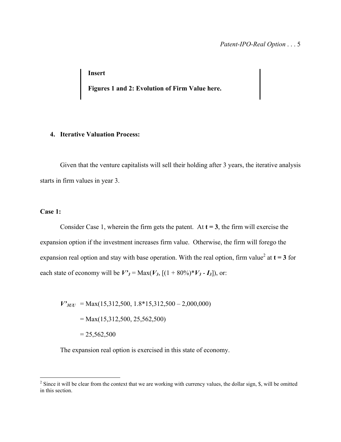**Insert** 

 **Figures 1 and 2: Evolution of Firm Value here.** 

## **4. Iterative Valuation Process:**

Given that the venture capitalists will sell their holding after 3 years, the iterative analysis starts in firm values in year 3.

## **Case 1:**

<u>.</u>

Consider Case 1, wherein the firm gets the patent. At  $t = 3$ , the firm will exercise the expansion option if the investment increases firm value. Otherwise, the firm will forego the expansion real option and stay with base operation. With the real option, firm value<sup>2</sup> at  $t = 3$  for each state of economy will be  $V'_{3} = Max(V_{3}, [(1 + 80\%)^{*}V_{3} - I_{3}])$ , or:

 $V'_{3UU}$  = Max(15,312,500, 1.8\*15,312,500 – 2,000,000)  $= Max(15,312,500, 25,562,500)$  $= 25,562,500$ 

The expansion real option is exercised in this state of economy.

 $2^2$  Since it will be clear from the context that we are working with currency values, the dollar sign, \$, will be omitted in this section.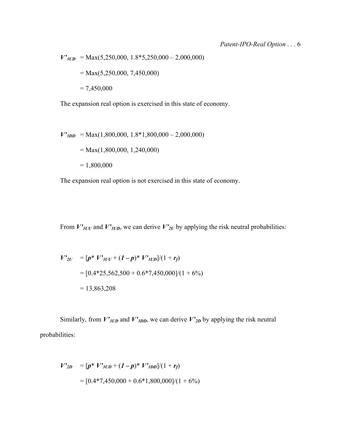$V'_{JUD}$  = Max(5,250,000, 1.8\*5,250,000 – 2,000,000)  $= Max(5,250,000, 7,450,000)$  $= 7,450,000$ 

The expansion real option is exercised in this state of economy.

$$
V'_{3DD} = \text{Max}(1,800,000, 1.8*1,800,000 - 2,000,000)
$$
  
= Max(1,800,000, 1,240,000)  
= 1,800,000

The expansion real option is not exercised in this state of economy.

From  $V'_{3UU}$  and  $V'_{3UD}$ , we can derive  $V'_{2U}$  by applying the risk neutral probabilities:

$$
V'_{2U} = [p^* V'_{3UU} + (I - p)^* V'_{3UD}]/(1 + r_f)
$$
  
= [0.4\*25,562,500 + 0.6\*7,450,000]/(1 + 6%)  
= 13,863,208

Similarly, from  $V'_{3UD}$  and  $V'_{3DD}$ , we can derive  $V'_{2D}$  by applying the risk neutral probabilities:

$$
V'_{2D} = [p^* V'_{3UD} + (1-p)^* V'_{3DD}]/(1+r_f)
$$
  
= [0.4\*7,450,000 + 0.6\*1,800,000]/(1+6%)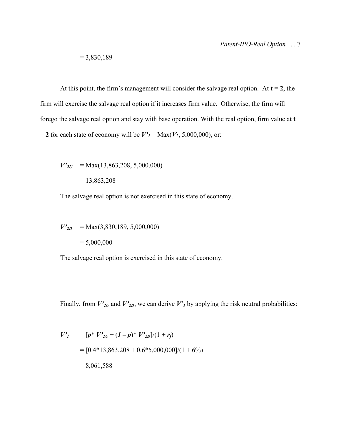$$
= 3,830,189
$$

At this point, the firm's management will consider the salvage real option. At  $t = 2$ , the firm will exercise the salvage real option if it increases firm value. Otherwise, the firm will forego the salvage real option and stay with base operation. With the real option, firm value at **t**  = 2 for each state of economy will be  $V'_{2}$  = Max( $V_{2}$ , 5,000,000), or:

$$
V'_{2U} = \text{Max}(13,863,208, 5,000,000)
$$
  
= 13,863,208

The salvage real option is not exercised in this state of economy.

 $V'_{2D}$  = Max(3,830,189, 5,000,000)  $= 5,000,000$ 

The salvage real option is exercised in this state of economy.

Finally, from  $V'_{2U}$  and  $V'_{2D}$ , we can derive  $V'_{1}$  by applying the risk neutral probabilities:

$$
V'_{1} = [p * V'_{2U} + (1-p) * V'_{2D}]/(1+r_{f})
$$
  
= [0.4\*13,863,208 + 0.6\*5,000,000]/(1+6%)  
= 8,061,588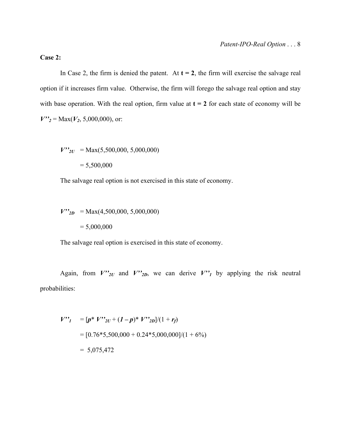# **Case 2:**

In Case 2, the firm is denied the patent. At  $t = 2$ , the firm will exercise the salvage real option if it increases firm value. Otherwise, the firm will forego the salvage real option and stay with base operation. With the real option, firm value at  $t = 2$  for each state of economy will be  $V''_2$  = Max( $V_2$ , 5,000,000), or:

 $V''_{2U}$  = Max(5,500,000, 5,000,000)

 $= 5,500,000$ 

The salvage real option is not exercised in this state of economy.

 $V''_{2D}$  = Max(4,500,000, 5,000,000)  $= 5,000,000$ 

The salvage real option is exercised in this state of economy.

Again, from  $V''_{2U}$  and  $V''_{2D}$ , we can derive  $V''_1$  by applying the risk neutral probabilities:

$$
V"I = [p * V"2U + (I - p) * V"2D]/(1 + r_f)
$$
  
= [0.76\*5,500,000 + 0.24\*5,000,000]/(1 + 6%)  
= 5,075,472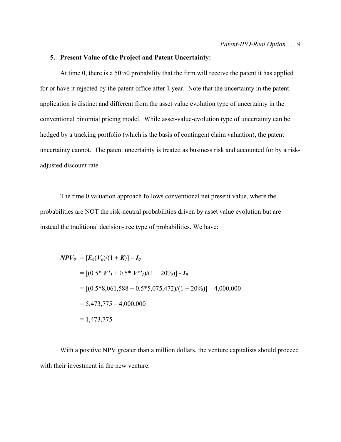## **5. Present Value of the Project and Patent Uncertainty:**

 At time 0, there is a 50:50 probability that the firm will receive the patent it has applied for or have it rejected by the patent office after 1 year. Note that the uncertainty in the patent application is distinct and different from the asset value evolution type of uncertainty in the conventional binomial pricing model. While asset-value-evolution type of uncertainty can be hedged by a tracking portfolio (which is the basis of contingent claim valuation), the patent uncertainty cannot. The patent uncertainty is treated as business risk and accounted for by a riskadjusted discount rate.

The time 0 valuation approach follows conventional net present value, where the probabilities are NOT the risk-neutral probabilities driven by asset value evolution but are instead the traditional decision-tree type of probabilities. We have:

$$
NPV_0 = [E_0(V_0)/(1 + K)] - I_0
$$
  
= [(0.5\* V'<sub>1</sub> + 0.5\* V"<sub>1</sub>)/(1 + 20%)] - I\_0  
= [(0.5\*8,061,588 + 0.5\*5,075,472)/(1 + 20%)] - 4,000,000  
= 5,473,775 - 4,000,000  
= 1,473,775

 With a positive NPV greater than a million dollars, the venture capitalists should proceed with their investment in the new venture.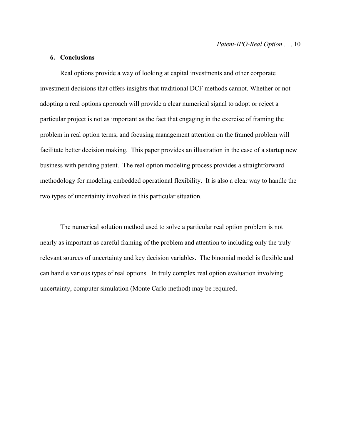## **6. Conclusions**

 Real options provide a way of looking at capital investments and other corporate investment decisions that offers insights that traditional DCF methods cannot. Whether or not adopting a real options approach will provide a clear numerical signal to adopt or reject a particular project is not as important as the fact that engaging in the exercise of framing the problem in real option terms, and focusing management attention on the framed problem will facilitate better decision making. This paper provides an illustration in the case of a startup new business with pending patent. The real option modeling process provides a straightforward methodology for modeling embedded operational flexibility. It is also a clear way to handle the two types of uncertainty involved in this particular situation.

 The numerical solution method used to solve a particular real option problem is not nearly as important as careful framing of the problem and attention to including only the truly relevant sources of uncertainty and key decision variables. The binomial model is flexible and can handle various types of real options. In truly complex real option evaluation involving uncertainty, computer simulation (Monte Carlo method) may be required.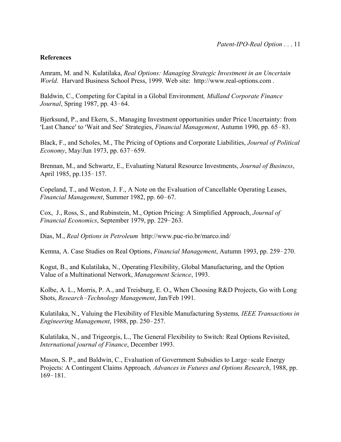# **References**

Amram, M. and N. Kulatilaka, *Real Options: Managing Strategic Investment in an Uncertain World*. Harvard Business School Press, 1999. Web site: http://www.real-options.com .

Baldwin, C., Competing for Capital in a Global Environment*, Midland Corporate Finance Journal*, Spring 1987, pp. 43-64.

Bjerksund, P., and Ekern, S., Managing Investment opportunities under Price Uncertainty: from 'Last Chance' to 'Wait and See' Strategies, *Financial Management*, Autumn 1990, pp. 65–83.

Black, F., and Scholes, M., The Pricing of Options and Corporate Liabilities, *Journal of Political Economy*, May/Jun 1973, pp. 637-659.

Brennan, M., and Schwartz, E., Evaluating Natural Resource Investments, *Journal of Business*, April 1985, pp.135-157.

Copeland, T., and Weston, J. F., A Note on the Evaluation of Cancellable Operating Leases, *Financial Management*, Summer 1982, pp. 60-67.

Cox, J., Ross, S., and Rubinstein, M., Option Pricing: A Simplified Approach, *Journal of Financial Economics*, September 1979, pp. 229-263.

Dias, M., *Real Options in Petroleum* http://www.puc-rio.br/marco.ind/

Kemna, A. Case Studies on Real Options, *Financial Management*, Autumn 1993, pp. 259-270.

Kogut, B., and Kulatilaka, N., Operating Flexibility, Global Manufacturing, and the Option Value of a Multinational Network, *Management Science*, 1993.

Kolbe, A. L., Morris, P. A., and Treisburg, E. O., When Choosing R&D Projects, Go with Long Shots, *Research*!*Technology Management*, Jan/Feb 1991.

Kulatilaka, N., Valuing the Flexibility of Flexible Manufacturing Systems*, IEEE Transactions in Engineering Management*, 1988, pp. 250-257.

Kulatilaka, N., and Trigeorgis, L., The General Flexibility to Switch: Real Options Revisited, *International journal of Finance*, December 1993.

Mason, S. P., and Baldwin, C., Evaluation of Government Subsidies to Large-scale Energy Projects: A Contingent Claims Approach*, Advances in Futures and Options Research*, 1988, pp.  $169 - 181$ .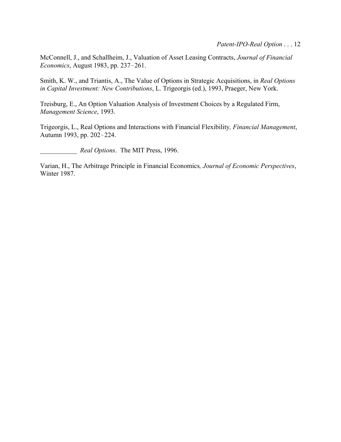McConnell, J., and Schallheim, J., Valuation of Asset Leasing Contracts, *Journal of Financial Economics*, August 1983, pp. 237-261.

Smith, K. W., and Triantis, A., The Value of Options in Strategic Acquisitions, in *Real Options in Capital Investment: New Contributions*, L. Trigeorgis (ed.), 1993, Praeger, New York.

Treisburg, E., An Option Valuation Analysis of Investment Choices by a Regulated Firm, *Management Science*, 1993.

Trigeorgis, L., Real Options and Interactions with Financial Flexibility*, Financial Management*, Autumn 1993, pp. 202-224.

\_\_\_\_\_\_\_\_\_\_\_ *Real Options*. The MIT Press, 1996.

Varian, H., The Arbitrage Principle in Financial Economics*, Journal of Economic Perspectives*, Winter 1987.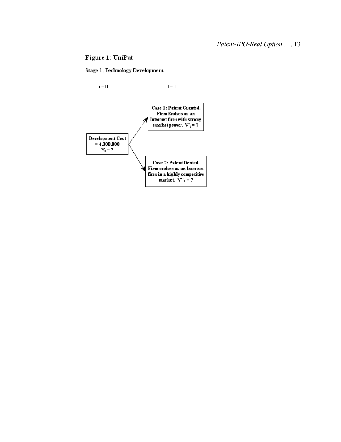# Figure 1: UniPat

### Stage 1, Technology Development